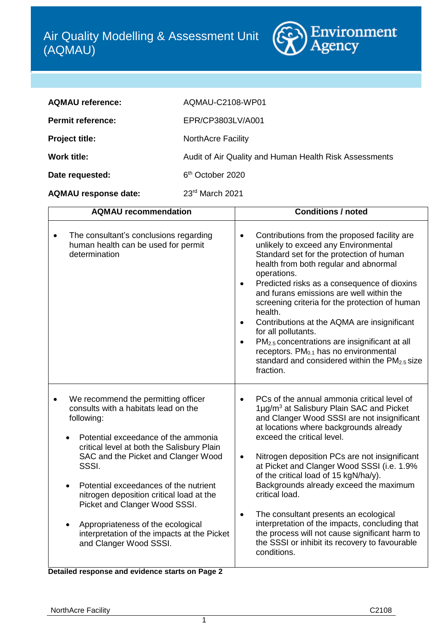

| <b>AQMAU reference:</b>  | AQMAU-C2108-WP01                                       |
|--------------------------|--------------------------------------------------------|
| <b>Permit reference:</b> | EPR/CP3803LV/A001                                      |
| <b>Project title:</b>    | <b>NorthAcre Facility</b>                              |
| Work title:              | Audit of Air Quality and Human Health Risk Assessments |
| Date requested:          | 6 <sup>th</sup> October 2020                           |

**AQMAU response date:** 23rd March 2021

| <b>AQMAU recommendation</b>                                                                                                                                                                                                                                                                                                                                                                                                                                                                                                        | <b>Conditions / noted</b>                                                                                                                                                                                                                                                                                                                                                                                                                                                                                                                                                                                                                                                           |
|------------------------------------------------------------------------------------------------------------------------------------------------------------------------------------------------------------------------------------------------------------------------------------------------------------------------------------------------------------------------------------------------------------------------------------------------------------------------------------------------------------------------------------|-------------------------------------------------------------------------------------------------------------------------------------------------------------------------------------------------------------------------------------------------------------------------------------------------------------------------------------------------------------------------------------------------------------------------------------------------------------------------------------------------------------------------------------------------------------------------------------------------------------------------------------------------------------------------------------|
| The consultant's conclusions regarding<br>$\bullet$<br>human health can be used for permit<br>determination                                                                                                                                                                                                                                                                                                                                                                                                                        | Contributions from the proposed facility are<br>$\bullet$<br>unlikely to exceed any Environmental<br>Standard set for the protection of human<br>health from both regular and abnormal<br>operations.<br>Predicted risks as a consequence of dioxins<br>$\bullet$<br>and furans emissions are well within the<br>screening criteria for the protection of human<br>health.<br>Contributions at the AQMA are insignificant<br>$\bullet$<br>for all pollutants.<br>PM <sub>2.5</sub> concentrations are insignificant at all<br>$\bullet$<br>receptors. PM <sub>0.1</sub> has no environmental<br>standard and considered within the $PM2.5 size$<br>fraction.                        |
| We recommend the permitting officer<br>consults with a habitats lead on the<br>following:<br>Potential exceedance of the ammonia<br>critical level at both the Salisbury Plain<br>SAC and the Picket and Clanger Wood<br>SSSI.<br>Potential exceedances of the nutrient<br>$\bullet$<br>nitrogen deposition critical load at the<br>Picket and Clanger Wood SSSI.<br>Appropriateness of the ecological<br>interpretation of the impacts at the Picket<br>and Clanger Wood SSSI.<br>Detailed response and evidence starts on Page 2 | PCs of the annual ammonia critical level of<br>$\bullet$<br>1µg/m <sup>3</sup> at Salisbury Plain SAC and Picket<br>and Clanger Wood SSSI are not insignificant<br>at locations where backgrounds already<br>exceed the critical level.<br>Nitrogen deposition PCs are not insignificant<br>$\bullet$<br>at Picket and Clanger Wood SSSI (i.e. 1.9%<br>of the critical load of 15 kgN/ha/y).<br>Backgrounds already exceed the maximum<br>critical load.<br>The consultant presents an ecological<br>$\bullet$<br>interpretation of the impacts, concluding that<br>the process will not cause significant harm to<br>the SSSI or inhibit its recovery to favourable<br>conditions. |

1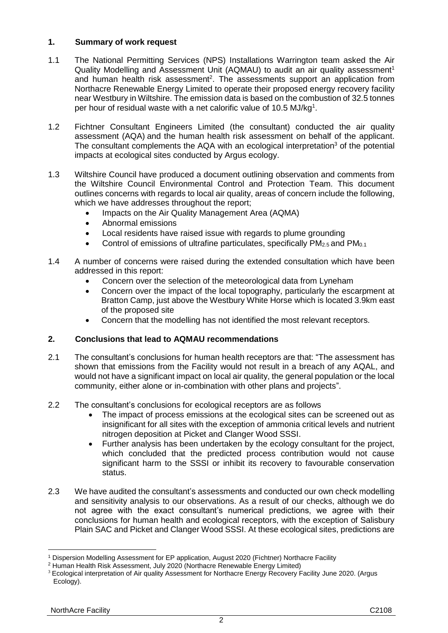# **1. Summary of work request**

- <span id="page-1-0"></span>1.1 The National Permitting Services (NPS) Installations Warrington team asked the Air Quality Modelling and Assessment Unit (AQMAU) to audit an air quality assessment<sup>1</sup> and human health risk assessment<sup>2</sup>. The assessments support an application from Northacre Renewable Energy Limited to operate their proposed energy recovery facility near Westbury in Wiltshire. The emission data is based on the combustion of 32.5 tonnes per hour of residual waste with a net calorific value of 10.5 MJ/k[g](#page-1-0)<sup>1</sup>.
- 1.2 Fichtner Consultant Engineers Limited (the consultant) conducted the air quality assessment (AQA) and the human health risk assessment on behalf of the applicant. The consultant complements the AQA with an ecological interpretation<sup>3</sup> of the potential impacts at ecological sites conducted by Argus ecology.
- 1.3 Wiltshire Council have produced a document outlining observation and comments from the Wiltshire Council Environmental Control and Protection Team. This document outlines concerns with regards to local air quality, areas of concern include the following, which we have addresses throughout the report;
	- Impacts on the Air Quality Management Area (AQMA)
	- Abnormal emissions
	- Local residents have raised issue with regards to plume grounding
	- Control of emissions of ultrafine particulates, specifically  $PM_{2.5}$  and  $PM_{0.1}$
- 1.4 A number of concerns were raised during the extended consultation which have been addressed in this report:
	- Concern over the selection of the meteorological data from Lyneham
	- Concern over the impact of the local topography, particularly the escarpment at Bratton Camp, just above the Westbury White Horse which is located 3.9km east of the proposed site
	- Concern that the modelling has not identified the most relevant receptors.

# **2. Conclusions that lead to AQMAU recommendations**

- 2.1 The consultant's conclusions for human health receptors are that: "The assessment has shown that emissions from the Facility would not result in a breach of any AQAL, and would not have a significant impact on local air quality, the general population or the local community, either alone or in-combination with other plans and projects".
- 2.2 The consultant's conclusions for ecological receptors are as follows
	- The impact of process emissions at the ecological sites can be screened out as insignificant for all sites with the exception of ammonia critical levels and nutrient nitrogen deposition at Picket and Clanger Wood SSSI.
	- Further analysis has been undertaken by the ecology consultant for the project, which concluded that the predicted process contribution would not cause significant harm to the SSSI or inhibit its recovery to favourable conservation status.
- 2.3 We have audited the consultant's assessments and conducted our own check modelling and sensitivity analysis to our observations. As a result of our checks, although we do not agree with the exact consultant's numerical predictions, we agree with their conclusions for human health and ecological receptors, with the exception of Salisbury Plain SAC and Picket and Clanger Wood SSSI. At these ecological sites, predictions are

 $\overline{a}$ <sup>1</sup> Dispersion Modelling Assessment for EP application, August 2020 (Fichtner) Northacre Facility

<sup>2</sup> Human Health Risk Assessment, July 2020 (Northacre Renewable Energy Limited)

<sup>&</sup>lt;sup>3</sup> Ecological interpretation of Air quality Assessment for Northacre Energy Recovery Facility June 2020. (Argus Ecology).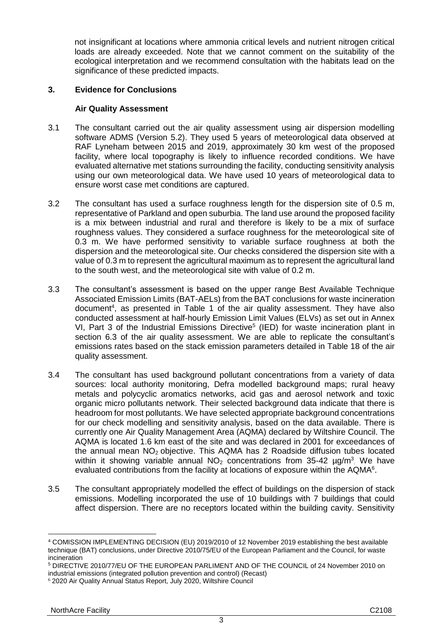not insignificant at locations where ammonia critical levels and nutrient nitrogen critical loads are already exceeded. Note that we cannot comment on the suitability of the ecological interpretation and we recommend consultation with the habitats lead on the significance of these predicted impacts.

### **3. Evidence for Conclusions**

### **Air Quality Assessment**

- <span id="page-2-0"></span>3.1 The consultant carried out the air quality assessment using air dispersion modelling software ADMS (Version 5.2). They used 5 years of meteorological data observed at RAF Lyneham between 2015 and 2019, approximately 30 km west of the proposed facility, where local topography is likely to influence recorded conditions. We have evaluated alternative met stations surrounding the facility, conducting sensitivity analysis using our own meteorological data. We have used 10 years of meteorological data to ensure worst case met conditions are captured.
- <span id="page-2-1"></span>3.2 The consultant has used a surface roughness length for the dispersion site of 0.5 m, representative of Parkland and open suburbia. The land use around the proposed facility is a mix between industrial and rural and therefore is likely to be a mix of surface roughness values. They considered a surface roughness for the meteorological site of 0.3 m. We have performed sensitivity to variable surface roughness at both the dispersion and the meteorological site. Our checks considered the dispersion site with a value of 0.3 m to represent the agricultural maximum as to represent the agricultural land to the south west, and the meteorological site with value of 0.2 m.
- 3.3 The consultant's assessment is based on the upper range Best Available Technique Associated Emission Limits (BAT-AELs) from the BAT conclusions for waste incineration document<sup>4</sup>, as presented in Table 1 of the air quality assessment. They have also conducted assessment at half-hourly Emission Limit Values (ELVs) as set out in Annex VI, Part 3 of the Industrial Emissions Directive<sup>5</sup> (IED) for waste incineration plant in section 6.3 of the air quality assessment. We are able to replicate the consultant's emissions rates based on the stack emission parameters detailed in Table 18 of the air quality assessment.
- 3.4 The consultant has used background pollutant concentrations from a variety of data sources: local authority monitoring, Defra modelled background maps; rural heavy metals and polycyclic aromatics networks, acid gas and aerosol network and toxic organic micro pollutants network. Their selected background data indicate that there is headroom for most pollutants. We have selected appropriate background concentrations for our check modelling and sensitivity analysis, based on the data available. There is currently one Air Quality Management Area (AQMA) declared by Wiltshire Council. The AQMA is located 1.6 km east of the site and was declared in 2001 for exceedances of the annual mean NO2 objective. This AQMA has 2 Roadside diffusion tubes located within it showing variable annual  $NO<sub>2</sub>$  concentrations from 35-42  $\mu$ g/m<sup>3</sup>. We have evaluated contributions from the facility at locations of exposure within the AQMA<sup>6</sup>.
- 3.5 The consultant appropriately modelled the effect of buildings on the dispersion of stack emissions. Modelling incorporated the use of 10 buildings with 7 buildings that could affect dispersion. There are no receptors located within the building cavity. Sensitivity

<sup>4</sup> COMISSION IMPLEMENTING DECISION (EU) 2019/2010 of 12 November 2019 establishing the best available technique (BAT) conclusions, under Directive 2010/75/EU of the European Parliament and the Council, for waste incineration

<sup>5</sup> DIRECTIVE 2010/77/EU OF THE EUROPEAN PARLIMENT AND OF THE COUNCIL of 24 November 2010 on industrial emissions (integrated pollution prevention and control) (Recast)

<sup>6</sup> 2020 Air Quality Annual Status Report, July 2020, Wiltshire Council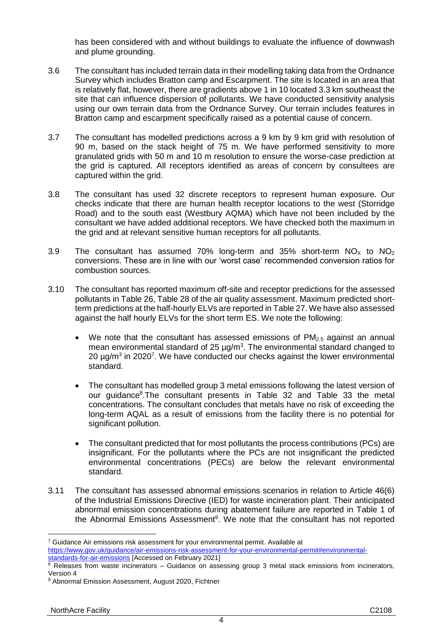has been considered with and without buildings to evaluate the influence of downwash and plume grounding.

- 3.6 The consultant has included terrain data in their modelling taking data from the Ordnance Survey which includes Bratton camp and Escarpment. The site is located in an area that is relatively flat, however, there are gradients above 1 in 10 located 3.3 km southeast the site that can influence dispersion of pollutants. We have conducted sensitivity analysis using our own terrain data from the Ordnance Survey. Our terrain includes features in Bratton camp and escarpment specifically raised as a potential cause of concern.
- 3.7 The consultant has modelled predictions across a 9 km by 9 km grid with resolution of 90 m, based on the stack height of 75 m. We have performed sensitivity to more granulated grids with 50 m and 10 m resolution to ensure the worse-case prediction at the grid is captured. All receptors identified as areas of concern by consultees are captured within the grid.
- 3.8 The consultant has used 32 discrete receptors to represent human exposure. Our checks indicate that there are human health receptor locations to the west (Storridge Road) and to the south east (Westbury AQMA) which have not been included by the consultant we have added additional receptors. We have checked both the maximum in the grid and at relevant sensitive human receptors for all pollutants.
- 3.9 The consultant has assumed 70% long-term and 35% short-term  $NO_x$  to  $NO_2$ conversions. These are in line with our 'worst case' recommended conversion ratios for combustion sources.
- 3.10 The consultant has reported maximum off-site and receptor predictions for the assessed pollutants in Table 26, Table 28 of the air quality assessment. Maximum predicted shortterm predictions at the half-hourly ELVs are reported in Table 27. We have also assessed against the half hourly ELVs for the short term ES. We note the following:
	- We note that the consultant has assessed emissions of  $PM<sub>2.5</sub>$  against an annual mean environmental standard of 25  $\mu$ g/m<sup>3</sup>. The environmental standard changed to 20  $\mu$ g/m<sup>3</sup> in 2020<sup>7</sup>. We have conducted our checks against the lower environmental standard.
	- The consultant has modelled group 3 metal emissions following the latest version of our guidance<sup>8</sup>. The consultant presents in Table 32 and Table 33 the metal concentrations. The consultant concludes that metals have no risk of exceeding the long-term AQAL as a result of emissions from the facility there is no potential for significant pollution.
	- The consultant predicted that for most pollutants the process contributions (PCs) are insignificant. For the pollutants where the PCs are not insignificant the predicted environmental concentrations (PECs) are below the relevant environmental standard.
- 3.11 The consultant has assessed abnormal emissions scenarios in relation to Article 46(6) of the Industrial Emissions Directive (IED) for waste incineration plant. Their anticipated abnormal emission concentrations during abatement failure are reported in Table 1 of the Abnormal Emissions Assessment $9$ . We note that the consultant has not reported

[standards-for-air-emissions](https://www.gov.uk/guidance/air-emissions-risk-assessment-for-your-environmental-permit#environmental-standards-for-air-emissions) [Accessed on February 2021]

 $7$  Guidance Air emissions risk assessment for your environmental permit. Available at

[https://www.gov.uk/guidance/air-emissions-risk-assessment-for-your-environmental-permit#environmental-](https://www.gov.uk/guidance/air-emissions-risk-assessment-for-your-environmental-permit#environmental-standards-for-air-emissions)

 $8$  Releases from waste incinerators  $-$  Guidance on assessing group 3 metal stack emissions from incinerators, Version 4

<sup>9</sup> Abnormal Emission Assessment, August 2020, Fichtner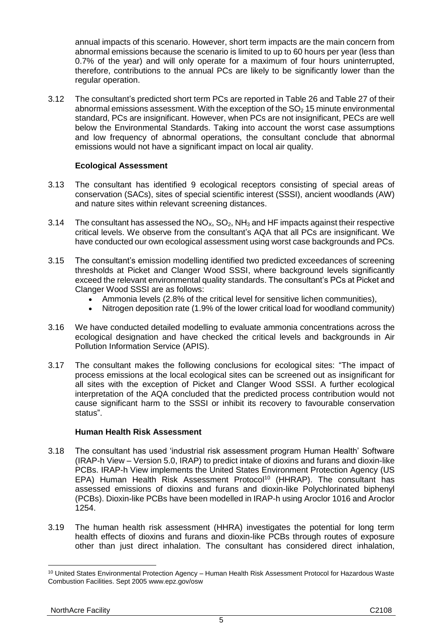annual impacts of this scenario. However, short term impacts are the main concern from abnormal emissions because the scenario is limited to up to 60 hours per year (less than 0.7% of the year) and will only operate for a maximum of four hours uninterrupted, therefore, contributions to the annual PCs are likely to be significantly lower than the regular operation.

3.12 The consultant's predicted short term PCs are reported in Table 26 and Table 27 of their abnormal emissions assessment. With the exception of the  $SO<sub>2</sub> 15$  minute environmental standard, PCs are insignificant. However, when PCs are not insignificant, PECs are well below the Environmental Standards. Taking into account the worst case assumptions and low frequency of abnormal operations, the consultant conclude that abnormal emissions would not have a significant impact on local air quality.

## **Ecological Assessment**

- 3.13 The consultant has identified 9 ecological receptors consisting of special areas of conservation (SACs), sites of special scientific interest (SSSI), ancient woodlands (AW) and nature sites within relevant screening distances.
- 3.14 The consultant has assessed the  $NO<sub>x</sub>$ ,  $SO<sub>2</sub>$ ,  $NH<sub>3</sub>$  and HF impacts against their respective critical levels. We observe from the consultant's AQA that all PCs are insignificant. We have conducted our own ecological assessment using worst case backgrounds and PCs.
- 3.15 The consultant's emission modelling identified two predicted exceedances of screening thresholds at Picket and Clanger Wood SSSI, where background levels significantly exceed the relevant environmental quality standards. The consultant's PCs at Picket and Clanger Wood SSSI are as follows:
	- Ammonia levels (2.8% of the critical level for sensitive lichen communities),
	- Nitrogen deposition rate (1.9% of the lower critical load for woodland community)
- 3.16 We have conducted detailed modelling to evaluate ammonia concentrations across the ecological designation and have checked the critical levels and backgrounds in Air Pollution Information Service (APIS).
- 3.17 The consultant makes the following conclusions for ecological sites: "The impact of process emissions at the local ecological sites can be screened out as insignificant for all sites with the exception of Picket and Clanger Wood SSSI. A further ecological interpretation of the AQA concluded that the predicted process contribution would not cause significant harm to the SSSI or inhibit its recovery to favourable conservation status".

#### **Human Health Risk Assessment**

- 3.18 The consultant has used 'industrial risk assessment program Human Health' Software (IRAP-h View – Version 5.0, IRAP) to predict intake of dioxins and furans and dioxin-like PCBs. IRAP-h View implements the United States Environment Protection Agency (US EPA) Human Health Risk Assessment Protocol<sup>10</sup> (HHRAP). The consultant has assessed emissions of dioxins and furans and dioxin-like Polychlorinated biphenyl (PCBs). Dioxin-like PCBs have been modelled in IRAP-h using Aroclor 1016 and Aroclor 1254.
- 3.19 The human health risk assessment (HHRA) investigates the potential for long term health effects of dioxins and furans and dioxin-like PCBs through routes of exposure other than just direct inhalation. The consultant has considered direct inhalation,

<sup>&</sup>lt;sup>10</sup> United States Environmental Protection Agency – Human Health Risk Assessment Protocol for Hazardous Waste Combustion Facilities. Sept 2005 www.epz.gov/osw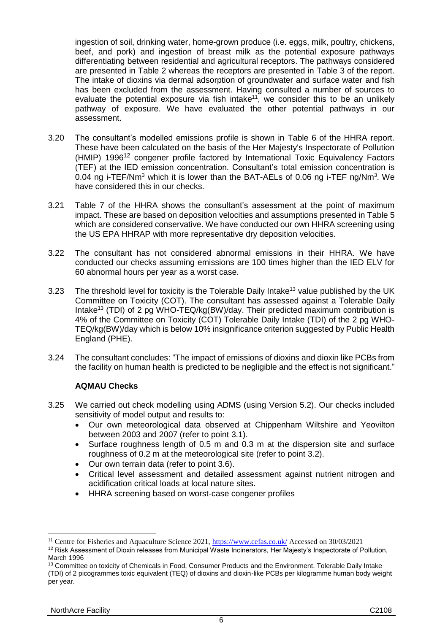ingestion of soil, drinking water, home-grown produce (i.e. eggs, milk, poultry, chickens, beef, and pork) and ingestion of breast milk as the potential exposure pathways differentiating between residential and agricultural receptors. The pathways considered are presented in Table 2 whereas the receptors are presented in Table 3 of the report. The intake of dioxins via dermal adsorption of groundwater and surface water and fish has been excluded from the assessment. Having consulted a number of sources to evaluate the potential exposure via fish intake<sup>11</sup>, we consider this to be an unlikely pathway of exposure. We have evaluated the other potential pathways in our assessment.

- 3.20 The consultant's modelled emissions profile is shown in Table 6 of the HHRA report. These have been calculated on the basis of the Her Majesty's Inspectorate of Pollution (HMIP) 1996<sup>12</sup> congener profile factored by International Toxic Equivalency Factors (TEF) at the IED emission concentration. Consultant's total emission concentration is 0.04 ng i-TEF/Nm<sup>3</sup> which it is lower than the BAT-AELs of 0.06 ng i-TEF ng/Nm<sup>3</sup>. We have considered this in our checks.
- 3.21 Table 7 of the HHRA shows the consultant's assessment at the point of maximum impact. These are based on deposition velocities and assumptions presented in Table 5 which are considered conservative. We have conducted our own HHRA screening using the US EPA HHRAP with more representative dry deposition velocities.
- 3.22 The consultant has not considered abnormal emissions in their HHRA. We have conducted our checks assuming emissions are 100 times higher than the IED ELV for 60 abnormal hours per year as a worst case.
- 3.23 The threshold level for toxicity is the Tolerable Daily Intake<sup>13</sup> value published by the UK Committee on Toxicity (COT). The consultant has assessed against a Tolerable Daily Intake<sup>13</sup> (TDI) of 2 pg WHO-TEQ/kg(BW)/day. Their predicted maximum contribution is 4% of the Committee on Toxicity (COT) Tolerable Daily Intake (TDI) of the 2 pg WHO-TEQ/kg(BW)/day which is below 10% insignificance criterion suggested by Public Health England (PHE).
- 3.24 The consultant concludes: "The impact of emissions of dioxins and dioxin like PCBs from the facility on human health is predicted to be negligible and the effect is not significant."

#### **AQMAU Checks**

- 3.25 We carried out check modelling using ADMS (using Version 5.2). Our checks included sensitivity of model output and results to:
	- Our own meteorological data observed at Chippenham Wiltshire and Yeovilton between 2003 and 2007 (refer to point [3.1\)](#page-2-0).
	- Surface roughness length of 0.5 m and 0.3 m at the dispersion site and surface roughness of 0.2 m at the meteorological site (refer to point [3.2\)](#page-2-1).
	- Our own terrain data (refer to point 3.6).
	- Critical level assessment and detailed assessment against nutrient nitrogen and acidification critical loads at local nature sites.
	- HHRA screening based on worst-case congener profiles

<sup>&</sup>lt;sup>11</sup> Centre for Fisheries and Aquaculture Science 2021,<https://www.cefas.co.uk/> Accessed on 30/03/2021

<sup>&</sup>lt;sup>12</sup> Risk Assessment of Dioxin releases from Municipal Waste Incinerators, Her Majesty's Inspectorate of Pollution, March 1996

<sup>&</sup>lt;sup>13</sup> Committee on toxicity of Chemicals in Food, Consumer Products and the Environment. Tolerable Daily Intake (TDI) of 2 picogrammes toxic equivalent (TEQ) of dioxins and dioxin-like PCBs per kilogramme human body weight per year.